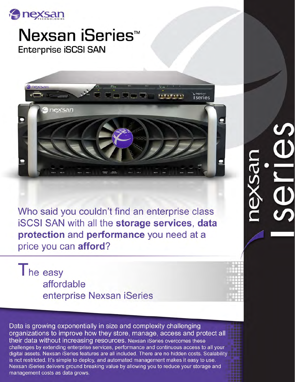

Nexsan iSeries<sup>™</sup> **Enterprise iSCSI SAN** 



Who said you couldn't find an enterprise class **iSCSI SAN with all the storage services, data** protection and performance you need at a price you can afford?

The easy affordable enterprise Nexsan iSeries

Data is growing exponentially in size and complexity challenging organizations to improve how they store, manage, access and protect all their data without increasing resources. Nexsan iSeries overcomes these challenges by extending enterprise services, performance and continuous access to all your digital assets. Nexsan iSeries features are all included. There are no hidden costs. Scalability is not restricted. It's simple to deploy, and automated management makes it easy to use. Nexsan iSeries delivers ground breaking value by allowing you to reduce your storage and management costs as data grows.

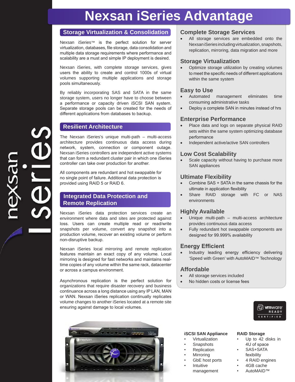# **Nexsan iSeries Advantage**

# **Storage Virtualization & Consolidation**

Nexsan iSeries™ is the perfect solution for server virtualization, databases, file storage, data consolidation and multiple data storage requirements where performance and scalability are a must and simple IP deployment is desired.

Nexsan iSeries, with complete storage services, gives users the ability to create and control 1000s of virtual volumes supporting multiple applications and storage pools simultaneously.

By reliably incorporating SAS and SATA in the same storage system, users no longer have to choose between a performance or capacity driven iSCSI SAN system. Separate storage pools can be created for the needs of different applications from databases to backup.

# **Resilient Architecture**

The Nexsan iSeries's unique multi-path – multi-access architecture provides continuous data access during network, system, connection or component outage. Nexsan iSeries controllers are independent active systems that can form a redundant cluster pair in which one iSeries controller can take over production for another.

All components are redundant and hot swappable for no single point of failure. Additional data protection is provided using RAID 5 or RAID 6.

# **Integrated Data Protection and Remote Replication**

Nexsan iSeries data protection services create an environment where data and sites are protected against loss. Users can create multiple read or read/write snapshots per volume, convert any snapshot into a production volume, recover an existing volume or perform non-disruptive backup.

Nexsan iSeries local mirroring and remote replication features maintain an exact copy of any volume. Local mirroring is designed for fast networks and maintains realtime copies of any volume within the same rack, datacenter or across a campus environment.

Asynchronous replication is the perfect solution for organizations that require disaster recovery and business continuance across a long distance using any IP LAN, MAN or WAN. Nexsan iSeries replication continually replicates volume changes to another iSeries located at a remote site ensuring against damage to local volumes.



# **Complete Storage Services**

• All storage services are embedded onto the Nexsan iSeries including virtualization, snapshots, replication, mirroring, data migration and more

# **Storage Virtualization**

Optimize storage utilization by creating volumes to meet the specific needs of different applications within the same system

# **Easy to Use**

- Automated management eliminates time consuming administrative tasks
- Deploy a complete SAN in minutes instead of hrs

# **Enterprise Performance**

- Place data and logs on separate physical RAID sets within the same system optimizing database performance
- Independent active/active SAN controllers

# **Low Cost Scalability**

Scale capacity without having to purchase more SAN appliances

# **Ultimate Flexibility**

- Combine SAS + SATA in the same chassis for the ultimate in application flexibility
- Share RAID storage with FC or NAS environments

# **Highly Available**

- Unique multi-path  $-$  multi-access architecture provides continuous data access
- Fully redundant hot swappable components are designed for 99.999% availability

# **Energy Efficient**

Industry leading energy efficiency delivering 'Speed with Green' with AutoMAID™ Technology

# **Affordable**

- All storage services included
- No hidden costs or license fees



# **iSCSI SAN Appliance**

- Virtualization
- **Snapshots**
- **Replication**
- **Mirroring**
- GbE host ports
- **Intuitive** management

# **RAID Storage**

- Up to 42 disks in 4U of space
- SAS+SATA fexibility
- 4 RAID engines
- 4GB cache
- AutoMAID™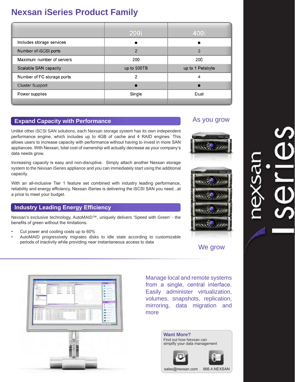# **Nexsan iSeries Product Family**

|                              | <b>200i</b>    | 400i             |
|------------------------------|----------------|------------------|
| Includes storage services    |                |                  |
| Number of iSCSI ports        | $\overline{2}$ | 3                |
| Maximum number of servers    | 200            | 200              |
| <b>Scalable SAN capacity</b> | up to 500TB    | up to 1 Petabyte |
| Number of FC storage ports   | 2              | 4                |
| <b>Cluster Support</b>       |                |                  |
| Power supplies               | Single         | Dual             |
|                              |                |                  |

# **Expand Capacity with Performance**

Unlike other iSCSI SAN solutions, each Nexsan storage system has its own independent performance engine, which includes up to 4GB of cache and 4 RAID engines. This allows users to increase capacity with performance without having to invest in more SAN appliances. With Nexsan, total cost of ownership will actually decrease as your company's data needs grow.

Increasing capacity is easy and non-disruptive. Simply attach another Nexsan storage system to the Nexsan iSeries appliance and you can immediately start using the additional capacity.

With an all-inclusive Tier 1 feature set combined with industry leading performance, reliability and energy efficiency, Nexsan iSeries is delivering the iSCSI SAN you need...at a price to meet your budget.

# **Industry Leading Energy Efficiency**

Nexsan's exclusive technology, AutoMAID™, uniquely delivers 'Speed with Green' - the benefits of green without the limitations.

- Cut power and cooling costs up to 60%
- AutoMAID progressively migrates disks to idle state according to customizable periods of inactivity while providing near instantaneous access to data











Manage local and remote systems from a single, central interface. Easily administer virtualization, volumes, snapshots, replication, mirroring, data migration and more